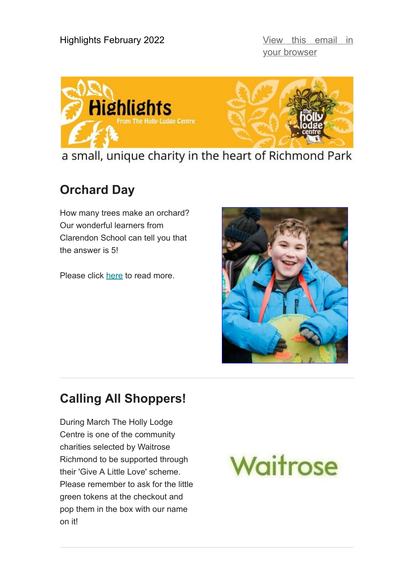your browser



a small, unique charity in the heart of Richmond Park

### **Orchard Day**

How many trees make an orchard? Our wonderful learners from Clarendon School can tell you that the answer is 5!

Please click [here](https://bit.ly/3uDUYiN) to read more.



## **Calling All Shoppers!**

During March The Holly Lodge Centre is one of the community charities selected by Waitrose Richmond to be supported through their 'Give A Little Love' scheme. Please remember to ask for the little green tokens at the checkout and pop them in the box with our name on it!

# Waitrose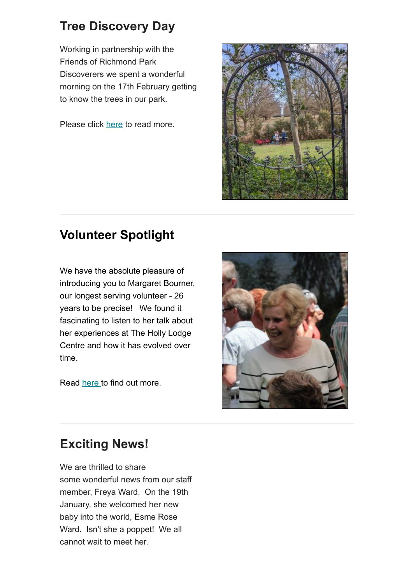### **Tree Discovery Day**

Working in partnership with the Friends of Richmond Park Discoverers we spent a wonderful morning on the 17th February getting to know the trees in our park.

Please click [here](https://bit.ly/3LZJegA) to read more.



#### **Volunteer Spotlight**

We have the absolute pleasure of introducing you to Margaret Bourner, our longest serving volunteer - 26 years to be precise! We found it fascinating to listen to her talk about her experiences at The Holly Lodge Centre and how it has evolved over time.

Read [here t](http://www.thehollylodgecentre.org.uk/index.php/news/246-volunteer-spotlight)o find out more.



#### **Exciting News!**

We are thrilled to share some wonderful news from our staff member, Freya Ward. On the 19th January, she welcomed her new baby into the world, Esme Rose Ward. Isn't she a poppet! We all cannot wait to meet her.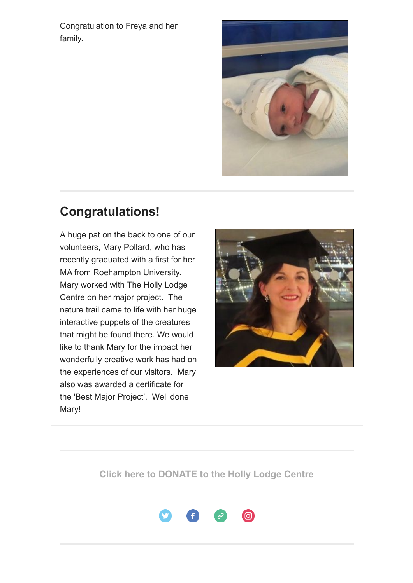Congratulation to Freya and her family.



#### **Congratulations!**

A huge pat on the back to one of our volunteers, Mary Pollard, who has recently graduated with a first for her MA from Roehampton University. Mary worked with The Holly Lodge Centre on her major project. The nature trail came to life with her huge interactive puppets of the creatures that might be found there. We would like to thank Mary for the impact her wonderfully creative work has had on the experiences of our visitors. Mary also was awarded a certificate for the 'Best Major Project'. Well done Mary!



#### **[Click here to DONATE to the Holly Lodge Centre](http://www.thehollylodgecentre.org.uk/index.php/support-us/donate-pages/37-donation-topic-1)**